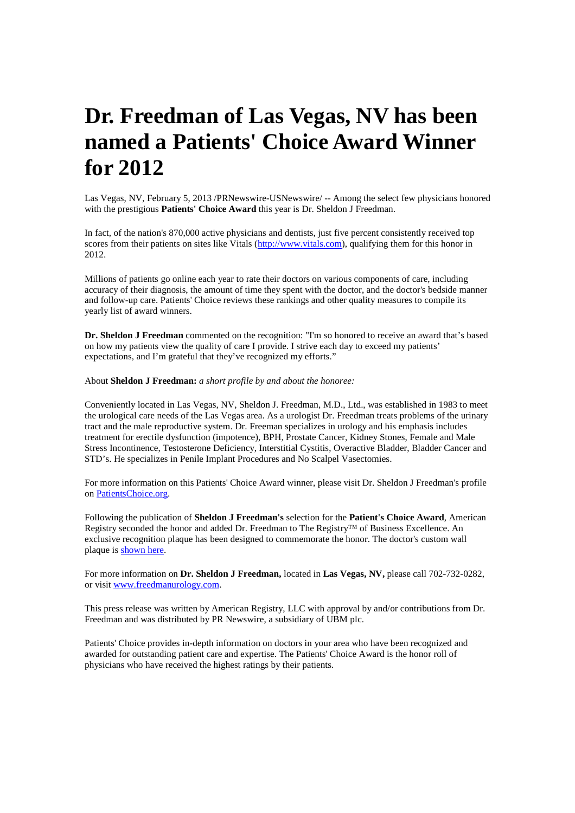## **Dr. Freedman of Las Vegas, NV has been named a Patients' Choice Award Winner for 2012**

Las Vegas, NV, February 5, 2013 /PRNewswire-USNewswire/ -- Among the select few physicians honored with the prestigious **Patients' Choice Award** this year is Dr. Sheldon J Freedman.

In fact, of the nation's 870,000 active physicians and dentists, just five percent consistently received top scores from their patients on sites like Vitals (http://www.vitals.com), qualifying them for this honor in 2012.

Millions of patients go online each year to rate their doctors on various components of care, including accuracy of their diagnosis, the amount of time they spent with the doctor, and the doctor's bedside manner and follow-up care. Patients' Choice reviews these rankings and other quality measures to compile its yearly list of award winners.

**Dr. Sheldon J Freedman** commented on the recognition: "I'm so honored to receive an award that's based on how my patients view the quality of care I provide. I strive each day to exceed my patients' expectations, and I'm grateful that they've recognized my efforts."

About **Sheldon J Freedman:** *a short profile by and about the honoree:*

Conveniently located in Las Vegas, NV, Sheldon J. Freedman, M.D., Ltd., was established in 1983 to meet the urological care needs of the Las Vegas area. As a urologist Dr. Freedman treats problems of the urinary tract and the male reproductive system. Dr. Freeman specializes in urology and his emphasis includes treatment for erectile dysfunction (impotence), BPH, Prostate Cancer, Kidney Stones, Female and Male Stress Incontinence, Testosterone Deficiency, Interstitial Cystitis, Overactive Bladder, Bladder Cancer and STD's. He specializes in Penile Implant Procedures and No Scalpel Vasectomies.

For more information on this Patients' Choice Award winner, please visit Dr. Sheldon J Freedman's profile on PatientsChoice.org.

Following the publication of **Sheldon J Freedman's** selection for the **Patient's Choice Award**, American Registry seconded the honor and added Dr. Freedman to The Registry™ of Business Excellence. An exclusive recognition plaque has been designed to commemorate the honor. The doctor's custom wall plaque is shown here.

For more information on **Dr. Sheldon J Freedman,** located in **Las Vegas, NV,** please call 702-732-0282, or visit www.freedmanurology.com.

This press release was written by American Registry, LLC with approval by and/or contributions from Dr. Freedman and was distributed by PR Newswire, a subsidiary of UBM plc.

Patients' Choice provides in-depth information on doctors in your area who have been recognized and awarded for outstanding patient care and expertise. The Patients' Choice Award is the honor roll of physicians who have received the highest ratings by their patients.